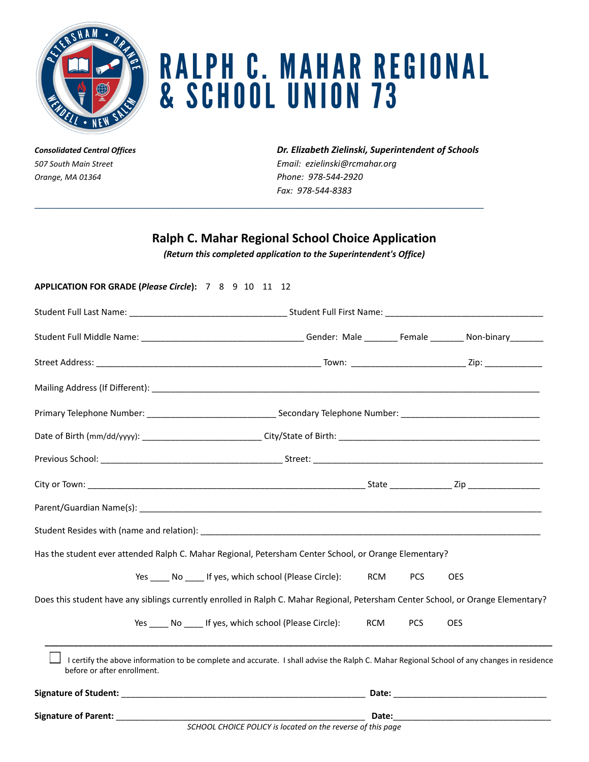

## **RALPH C. MAHAR REGIONAL** & SCHOOL UNION 73

*Orange, MA 01364 Phone: 978-544-2920*

*Consolidated Central Offices Dr. Elizabeth Zielinski, Superintendent of Schools 507 South Main Street Email: ezielinski@rcmahar.org Fax: 978-544-8383*

## **Ralph C. Mahar Regional School Choice Application**

 $\_$  ,  $\_$  ,  $\_$  ,  $\_$  ,  $\_$  ,  $\_$  ,  $\_$  ,  $\_$  ,  $\_$  ,  $\_$  ,  $\_$  ,  $\_$  ,  $\_$  ,  $\_$  ,  $\_$  ,  $\_$  ,  $\_$  ,  $\_$  ,  $\_$  ,  $\_$  ,  $\_$  ,  $\_$  ,  $\_$  ,  $\_$  ,  $\_$  ,  $\_$  ,  $\_$  ,  $\_$  ,  $\_$  ,  $\_$  ,  $\_$  ,  $\_$  ,  $\_$  ,  $\_$  ,  $\_$  ,  $\_$  ,  $\_$  ,

*(Return this completed application to the Superintendent's Office)*

## **APPLICATION FOR GRADE (***Please Circle***):** 7 8 9 10 11 12 Student Full Last Name: \_\_\_\_\_\_\_\_\_\_\_\_\_\_\_\_\_\_\_\_\_\_\_\_\_\_\_\_\_\_\_\_\_ Student Full First Name: \_\_\_\_\_\_\_\_\_\_\_\_\_\_\_\_\_\_\_\_\_\_\_\_\_\_\_\_\_\_\_\_\_ Student Full Middle Name: \_\_\_\_\_\_\_\_\_\_\_\_\_\_\_\_\_\_\_\_\_\_\_\_\_\_\_\_\_\_\_\_\_\_ Gender: Male \_\_\_\_\_\_\_ Female \_\_\_\_\_\_\_ Non-binary\_\_\_\_\_\_\_ Street Address: \_\_\_\_\_\_\_\_\_\_\_\_\_\_\_\_\_\_\_\_\_\_\_\_\_\_\_\_\_\_\_\_\_\_\_\_\_\_\_\_\_\_\_\_\_\_\_ Town: \_\_\_\_\_\_\_\_\_\_\_\_\_\_\_\_\_\_\_\_\_\_\_\_ Zip: \_\_\_\_\_\_\_\_\_\_\_\_ Mailing Address (If Different): \_\_\_\_\_\_\_\_\_\_\_\_\_\_\_\_\_\_\_\_\_\_\_\_\_\_\_\_\_\_\_\_\_\_\_\_\_\_\_\_\_\_\_\_\_\_\_\_\_\_\_\_\_\_\_\_\_\_\_\_\_\_\_\_\_\_\_\_\_\_\_\_\_\_\_\_\_\_\_\_\_ Primary Telephone Number: \_\_\_\_\_\_\_\_\_\_\_\_\_\_\_\_\_\_\_\_\_\_\_\_\_\_\_ Secondary Telephone Number: \_\_\_\_\_\_\_\_\_\_\_\_\_\_\_\_\_\_\_\_\_\_\_\_\_\_\_\_\_ Date of Birth (mm/dd/yyyy): \_\_\_\_\_\_\_\_\_\_\_\_\_\_\_\_\_\_\_\_\_\_\_\_\_ City/State of Birth: \_\_\_\_\_\_\_\_\_\_\_\_\_\_\_\_\_\_\_\_\_\_\_\_\_\_\_\_\_\_\_\_\_\_\_\_\_\_\_\_\_\_ Previous School: \_\_\_\_\_\_\_\_\_\_\_\_\_\_\_\_\_\_\_\_\_\_\_\_\_\_\_\_\_\_\_\_\_\_\_\_\_\_ Street: \_\_\_\_\_\_\_\_\_\_\_\_\_\_\_\_\_\_\_\_\_\_\_\_\_\_\_\_\_\_\_\_\_\_\_\_\_\_\_\_\_\_\_\_\_\_\_\_ City or Town: The contract of the contract of the contract of the contract of the contract of the contract of the contract of the contract of the contract of the contract of the contract of the contract of the contract of Parent/Guardian Name(s): \_\_\_\_\_\_\_\_\_\_\_\_\_\_\_\_\_\_\_\_\_\_\_\_\_\_\_\_\_\_\_\_\_\_\_\_\_\_\_\_\_\_\_\_\_\_\_\_\_\_\_\_\_\_\_\_\_\_\_\_\_\_\_\_\_\_\_\_\_\_\_\_\_\_\_\_\_\_\_\_\_\_\_\_ Student Resides with (name and relation): \_\_\_\_\_\_\_\_\_\_\_\_\_\_\_\_\_\_\_\_\_\_\_\_\_\_\_\_\_\_\_\_\_\_\_\_\_\_\_\_\_\_\_\_\_\_\_\_\_\_\_\_\_\_\_\_\_\_\_\_\_\_\_\_\_\_\_\_\_\_\_ Has the student ever attended Ralph C. Mahar Regional, Petersham Center School, or Orange Elementary? Yes \_\_\_\_ No \_\_\_\_ If yes, which school (Please Circle): ACM PCS OES Does this student have any siblings currently enrolled in Ralph C. Mahar Regional, Petersham Center School, or Orange Elementary? Yes \_\_\_\_\_ No \_\_\_\_\_ If yes, which school (Please Circle): ACM PCS OES **\_\_\_\_\_\_\_\_\_\_\_\_\_\_\_\_\_\_\_\_\_\_\_\_\_\_\_\_\_\_\_\_\_\_\_\_\_\_\_\_\_\_\_\_\_\_\_\_\_\_\_\_\_\_\_\_\_\_\_\_\_\_\_\_\_\_\_\_\_\_\_\_\_\_\_\_\_\_\_\_\_\_\_\_\_\_\_\_\_\_\_\_\_\_\_\_\_\_\_\_\_\_\_\_\_\_** I certify the above information to be complete and accurate. I shall advise the Ralph C. Mahar Regional School of any changes in residence before or after enrollment. **Signature of Student:** \_\_\_\_\_\_\_\_\_\_\_\_\_\_\_\_\_\_\_\_\_\_\_\_\_\_\_\_\_\_\_\_\_\_\_\_\_\_\_\_\_\_\_\_\_\_\_\_\_\_\_ **Date:** \_\_\_\_\_\_\_\_\_\_\_\_\_\_\_\_\_\_\_\_\_\_\_\_\_\_\_\_\_\_\_\_ **Signature of Parent:** \_\_\_\_\_\_\_\_\_\_\_\_\_\_\_\_\_\_\_\_\_\_\_\_\_\_\_\_\_\_\_\_\_\_\_\_\_\_\_\_\_\_\_\_\_\_\_\_\_\_\_\_ **Date:**\_\_\_\_\_\_\_\_\_\_\_\_\_\_\_\_\_\_\_\_\_\_\_\_\_\_\_\_\_\_\_\_\_

*SCHOOL CHOICE POLICY is located on the reverse of this page*